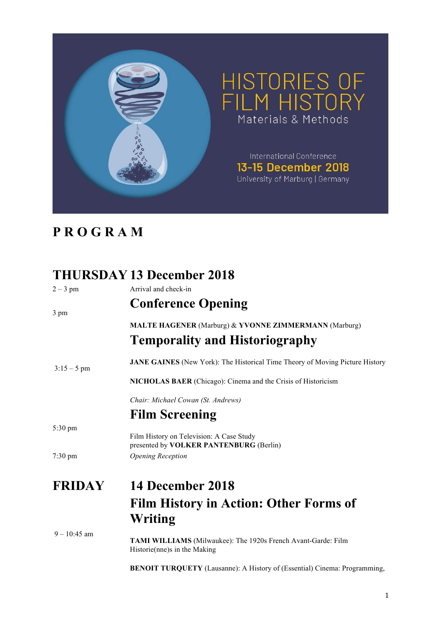

## **P R O G R A M**

## **THURSDAY 13 December 2018**

| $2 - 3$ pm        | Arrival and check-in                                                                           |
|-------------------|------------------------------------------------------------------------------------------------|
| 3 pm              | <b>Conference Opening</b>                                                                      |
|                   | <b>MALTE HAGENER</b> (Marburg) & YVONNE ZIMMERMANN (Marburg)                                   |
|                   | <b>Temporality and Historiography</b>                                                          |
| $3:15-5$ pm       | <b>JANE GAINES</b> (New York): The Historical Time Theory of Moving Picture History            |
|                   | <b>NICHOLAS BAER</b> (Chicago): Cinema and the Crisis of Historicism                           |
|                   | Chair: Michael Cowan (St. Andrews)                                                             |
|                   | <b>Film Screening</b>                                                                          |
| $5:30 \text{ pm}$ | Film History on Television: A Case Study<br>presented by <b>VOLKER PANTENBURG</b> (Berlin)     |
| $7:30 \text{ pm}$ | <b>Opening Reception</b>                                                                       |
| <b>FRIDAY</b>     | 14 December 2018                                                                               |
|                   | <b>Film History in Action: Other Forms of</b>                                                  |
|                   | Writing                                                                                        |
| $9 - 10:45$ am    | TAMI WILLIAMS (Milwaukee): The 1920s French Avant-Garde: Film<br>Historie (nne)s in the Making |

**BENOIT TURQUETY** (Lausanne): A History of (Essential) Cinema: Programming,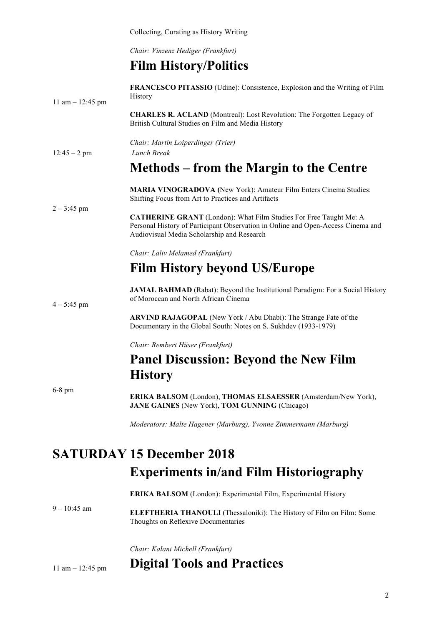Collecting, Curating as History Writing

*Chair: Vinzenz Hediger (Frankfurt)*

## **Film History/Politics**

| 11 am $-$ 12:45 pm        | FRANCESCO PITASSIO (Udine): Consistence, Explosion and the Writing of Film<br>History                                                                                                                      |
|---------------------------|------------------------------------------------------------------------------------------------------------------------------------------------------------------------------------------------------------|
|                           | <b>CHARLES R. ACLAND</b> (Montreal): Lost Revolution: The Forgotten Legacy of<br>British Cultural Studies on Film and Media History                                                                        |
| $12:45 - 2$ pm            | Chair: Martin Loiperdinger (Trier)<br>Lunch Break                                                                                                                                                          |
|                           | Methods – from the Margin to the Centre                                                                                                                                                                    |
| $2 - 3:45$ pm             | MARIA VINOGRADOVA (New York): Amateur Film Enters Cinema Studies:<br>Shifting Focus from Art to Practices and Artifacts                                                                                    |
|                           | <b>CATHERINE GRANT</b> (London): What Film Studies For Free Taught Me: A<br>Personal History of Participant Observation in Online and Open-Access Cinema and<br>Audiovisual Media Scholarship and Research |
|                           | Chair: Laliv Melamed (Frankfurt)                                                                                                                                                                           |
|                           | <b>Film History beyond US/Europe</b>                                                                                                                                                                       |
| $4 - 5:45$ pm<br>$6-8$ pm | JAMAL BAHMAD (Rabat): Beyond the Institutional Paradigm: For a Social History<br>of Moroccan and North African Cinema                                                                                      |
|                           | ARVIND RAJAGOPAL (New York / Abu Dhabi): The Strange Fate of the<br>Documentary in the Global South: Notes on S. Sukhdev (1933-1979)                                                                       |
|                           | Chair: Rembert Hüser (Frankfurt)                                                                                                                                                                           |
|                           | <b>Panel Discussion: Beyond the New Film</b>                                                                                                                                                               |
|                           | <b>History</b>                                                                                                                                                                                             |
|                           | ERIKA BALSOM (London), THOMAS ELSAESSER (Amsterdam/New York),<br><b>JANE GAINES</b> (New York), <b>TOM GUNNING</b> (Chicago)                                                                               |
|                           | Moderators: Malte Hagener (Marburg), Yvonne Zimmermann (Marburg)                                                                                                                                           |

## **SATURDAY 15 December 2018 Experiments in/and Film Historiography**

 $9 - 10:45$  am **ERIKA BALSOM** (London): Experimental Film, Experimental History **ELEFTHERIA THANOULI** (Thessaloniki): The History of Film on Film: Some Thoughts on Reflexive Documentaries

*Chair: Kalani Michell (Frankfurt)*

#### 11 am – 12:45 pm **Digital Tools and Practices**